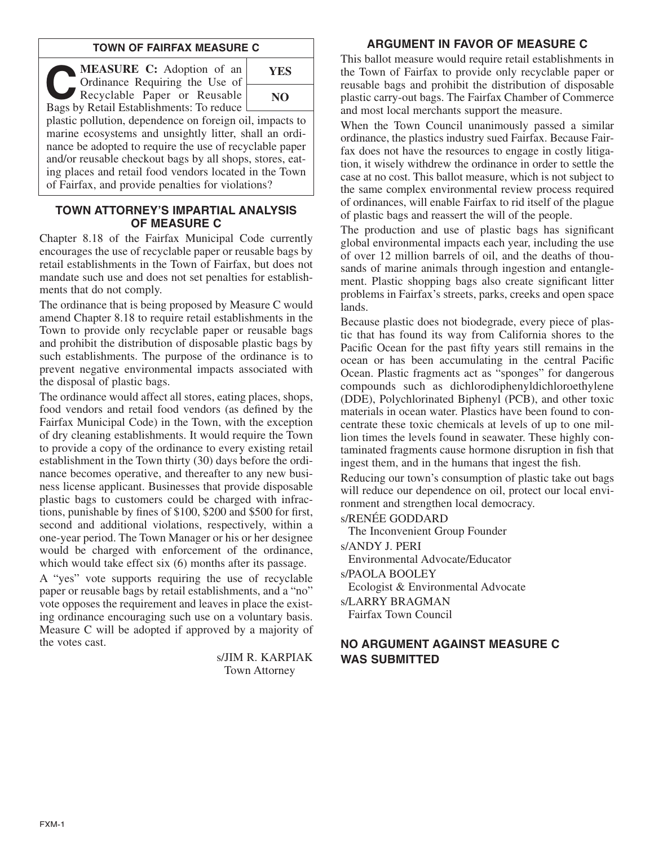### **TOWN OF FAIRFAX MEASURE C**

**C MEASURE C:** Adoption of an Recyclable Paper or Reusable Ordinance Requiring the Use of Bags by Retail Establishments: To reduce



plastic pollution, dependence on foreign oil, impacts to marine ecosystems and unsightly litter, shall an ordinance be adopted to require the use of recyclable paper and/or reusable checkout bags by all shops, stores, eating places and retail food vendors located in the Town of Fairfax, and provide penalties for violations?

### **TOWN ATTORNEY'S IMPARTIAL ANALYSIS OF MEASURE C**

Chapter 8.18 of the Fairfax Municipal Code currently encourages the use of recyclable paper or reusable bags by retail establishments in the Town of Fairfax, but does not mandate such use and does not set penalties for establishments that do not comply.

The ordinance that is being proposed by Measure C would amend Chapter 8.18 to require retail establishments in the Town to provide only recyclable paper or reusable bags and prohibit the distribution of disposable plastic bags by such establishments. The purpose of the ordinance is to prevent negative environmental impacts associated with the disposal of plastic bags.

The ordinance would affect all stores, eating places, shops, food vendors and retail food vendors (as defined by the Fairfax Municipal Code) in the Town, with the exception of dry cleaning establishments. It would require the Town to provide a copy of the ordinance to every existing retail establishment in the Town thirty (30) days before the ordinance becomes operative, and thereafter to any new business license applicant. Businesses that provide disposable plastic bags to customers could be charged with infractions, punishable by fines of \$100, \$200 and \$500 for first, second and additional violations, respectively, within a one-year period. The Town Manager or his or her designee would be charged with enforcement of the ordinance, which would take effect six (6) months after its passage.

A "yes" vote supports requiring the use of recyclable paper or reusable bags by retail establishments, and a "no" vote opposes the requirement and leaves in place the existing ordinance encouraging such use on a voluntary basis. Measure C will be adopted if approved by a majority of the votes cast.

> s/JIM R. KARPIAK Town Attorney

## **ARGUMENT IN FAVOR OF MEASURE C**

This ballot measure would require retail establishments in the Town of Fairfax to provide only recyclable paper or reusable bags and prohibit the distribution of disposable plastic carry-out bags. The Fairfax Chamber of Commerce and most local merchants support the measure.

When the Town Council unanimously passed a similar ordinance, the plastics industry sued Fairfax. Because Fairfax does not have the resources to engage in costly litigation, it wisely withdrew the ordinance in order to settle the case at no cost. This ballot measure, which is not subject to the same complex environmental review process required of ordinances, will enable Fairfax to rid itself of the plague of plastic bags and reassert the will of the people.

The production and use of plastic bags has significant global environmental impacts each year, including the use of over 12 million barrels of oil, and the deaths of thousands of marine animals through ingestion and entanglement. Plastic shopping bags also create significant litter problems in Fairfax's streets, parks, creeks and open space lands.

Because plastic does not biodegrade, every piece of plastic that has found its way from California shores to the Pacific Ocean for the past fifty years still remains in the ocean or has been accumulating in the central Pacific Ocean. Plastic fragments act as "sponges" for dangerous compounds such as dichlorodiphenyldichloroethylene (DDE), Polychlorinated Biphenyl (PCB), and other toxic materials in ocean water. Plastics have been found to concentrate these toxic chemicals at levels of up to one million times the levels found in seawater. These highly contaminated fragments cause hormone disruption in fish that ingest them, and in the humans that ingest the fish.

Reducing our town's consumption of plastic take out bags will reduce our dependence on oil, protect our local environment and strengthen local democracy.

s/RENÉE GODDARD

The Inconvenient Group Founder

s/ANDY J. PERI

Environmental Advocate/Educator

s/PAOLA BOOLEY

Ecologist & Environmental Advocate

s/LARRY BRAGMAN Fairfax Town Council

# **NO ARGUMENT AGAINST MEASURE C WAS SUBMITTED**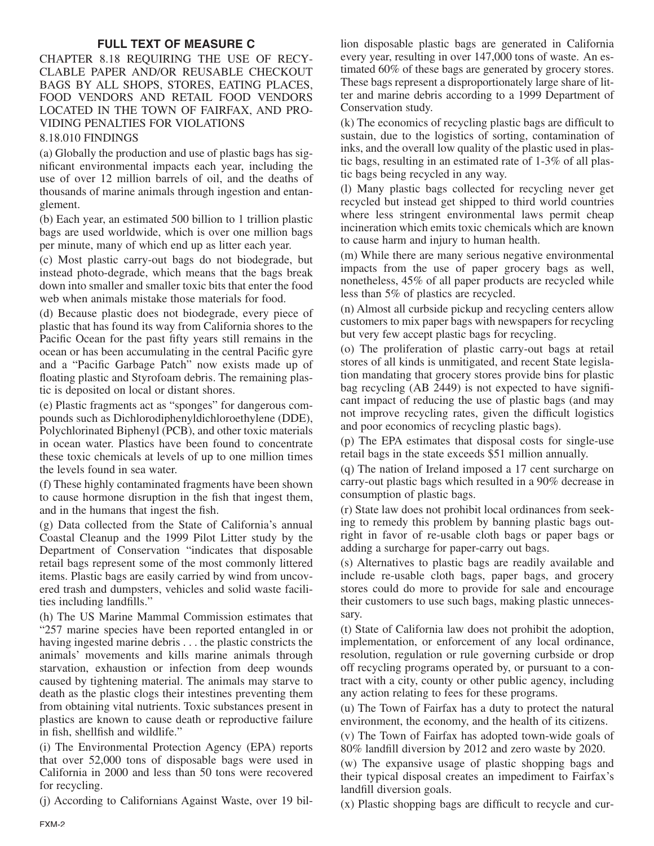# **FULL TEXT OF MEASURE C**

## CHAPTER 8.18 REQUIRING THE USE OF RECY-CLABLE PAPER AND/OR REUSABLE CHECKOUT BAGS BY ALL SHOPS, STORES, EATING PLACES, FOOD VENDORS AND RETAIL FOOD VENDORS LOCATED IN THE TOWN OF FAIRFAX, AND PRO-VIDING PENALTIES FOR VIOLATIONS

# 8.18.010 FINDINGS

(a) Globally the production and use of plastic bags has significant environmental impacts each year, including the use of over 12 million barrels of oil, and the deaths of thousands of marine animals through ingestion and entanglement.

(b) Each year, an estimated 500 billion to 1 trillion plastic bags are used worldwide, which is over one million bags per minute, many of which end up as litter each year.

(c) Most plastic carry-out bags do not biodegrade, but instead photo-degrade, which means that the bags break down into smaller and smaller toxic bits that enter the food web when animals mistake those materials for food.

(d) Because plastic does not biodegrade, every piece of plastic that has found its way from California shores to the Pacific Ocean for the past fifty years still remains in the ocean or has been accumulating in the central Pacific gyre and a "Pacific Garbage Patch" now exists made up of floating plastic and Styrofoam debris. The remaining plastic is deposited on local or distant shores.

(e) Plastic fragments act as "sponges" for dangerous compounds such as Dichlorodiphenyldichloroethylene (DDE), Polychlorinated Biphenyl (PCB), and other toxic materials in ocean water. Plastics have been found to concentrate these toxic chemicals at levels of up to one million times the levels found in sea water.

(f) These highly contaminated fragments have been shown to cause hormone disruption in the fish that ingest them, and in the humans that ingest the fish.

(g) Data collected from the State of California's annual Coastal Cleanup and the 1999 Pilot Litter study by the Department of Conservation "indicates that disposable retail bags represent some of the most commonly littered items. Plastic bags are easily carried by wind from uncovered trash and dumpsters, vehicles and solid waste facilities including landfills."

(h) The US Marine Mammal Commission estimates that "257 marine species have been reported entangled in or having ingested marine debris . . . the plastic constricts the animals' movements and kills marine animals through starvation, exhaustion or infection from deep wounds caused by tightening material. The animals may starve to death as the plastic clogs their intestines preventing them from obtaining vital nutrients. Toxic substances present in plastics are known to cause death or reproductive failure in fish, shellfish and wildlife."

(i) The Environmental Protection Agency (EPA) reports that over 52,000 tons of disposable bags were used in California in 2000 and less than 50 tons were recovered for recycling.

(j) According to Californians Against Waste, over 19 bil-

lion disposable plastic bags are generated in California every year, resulting in over 147,000 tons of waste. An estimated 60% of these bags are generated by grocery stores. These bags represent a disproportionately large share of litter and marine debris according to a 1999 Department of Conservation study.

(k) The economics of recycling plastic bags are difficult to sustain, due to the logistics of sorting, contamination of inks, and the overall low quality of the plastic used in plastic bags, resulting in an estimated rate of 1-3% of all plastic bags being recycled in any way.

(l) Many plastic bags collected for recycling never get recycled but instead get shipped to third world countries where less stringent environmental laws permit cheap incineration which emits toxic chemicals which are known to cause harm and injury to human health.

(m) While there are many serious negative environmental impacts from the use of paper grocery bags as well, nonetheless, 45% of all paper products are recycled while less than 5% of plastics are recycled.

(n) Almost all curbside pickup and recycling centers allow customers to mix paper bags with newspapers for recycling but very few accept plastic bags for recycling.

(o) The proliferation of plastic carry-out bags at retail stores of all kinds is unmitigated, and recent State legislation mandating that grocery stores provide bins for plastic bag recycling (AB 2449) is not expected to have significant impact of reducing the use of plastic bags (and may not improve recycling rates, given the difficult logistics and poor economics of recycling plastic bags).

(p) The EPA estimates that disposal costs for single-use retail bags in the state exceeds \$51 million annually.

(q) The nation of Ireland imposed a 17 cent surcharge on carry-out plastic bags which resulted in a 90% decrease in consumption of plastic bags.

(r) State law does not prohibit local ordinances from seeking to remedy this problem by banning plastic bags outright in favor of re-usable cloth bags or paper bags or adding a surcharge for paper-carry out bags.

(s) Alternatives to plastic bags are readily available and include re-usable cloth bags, paper bags, and grocery stores could do more to provide for sale and encourage their customers to use such bags, making plastic unnecessary.

(t) State of California law does not prohibit the adoption, implementation, or enforcement of any local ordinance, resolution, regulation or rule governing curbside or drop off recycling programs operated by, or pursuant to a contract with a city, county or other public agency, including any action relating to fees for these programs.

(u) The Town of Fairfax has a duty to protect the natural environment, the economy, and the health of its citizens.

(v) The Town of Fairfax has adopted town-wide goals of 80% landfill diversion by 2012 and zero waste by 2020.

(w) The expansive usage of plastic shopping bags and their typical disposal creates an impediment to Fairfax's landfill diversion goals.

(x) Plastic shopping bags are difficult to recycle and cur-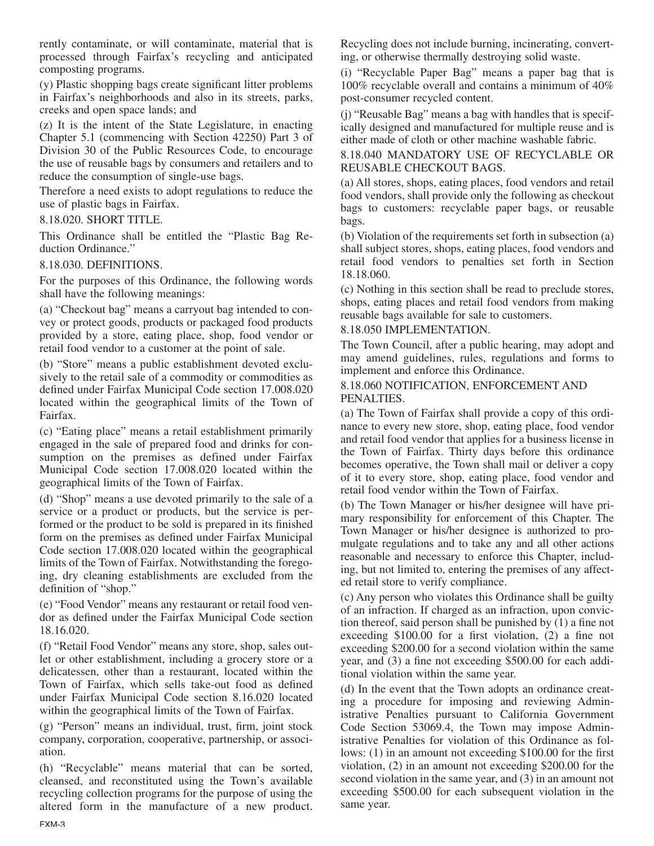rently contaminate, or will contaminate, material that is processed through Fairfax's recycling and anticipated composting programs.

(y) Plastic shopping bags create significant litter problems in Fairfax's neighborhoods and also in its streets, parks, creeks and open space lands; and

(z) It is the intent of the State Legislature, in enacting Chapter 5.1 (commencing with Section 42250) Part 3 of Division 30 of the Public Resources Code, to encourage the use of reusable bags by consumers and retailers and to reduce the consumption of single-use bags.

Therefore a need exists to adopt regulations to reduce the use of plastic bags in Fairfax.

#### 8.18.020. SHORT TITLE.

This Ordinance shall be entitled the "Plastic Bag Reduction Ordinance."

8.18.030. DEFINITIONS.

For the purposes of this Ordinance, the following words shall have the following meanings:

(a) "Checkout bag" means a carryout bag intended to convey or protect goods, products or packaged food products provided by a store, eating place, shop, food vendor or retail food vendor to a customer at the point of sale.

(b) "Store" means a public establishment devoted exclusively to the retail sale of a commodity or commodities as defined under Fairfax Municipal Code section 17.008.020 located within the geographical limits of the Town of Fairfax.

(c) "Eating place" means a retail establishment primarily engaged in the sale of prepared food and drinks for consumption on the premises as defined under Fairfax Municipal Code section 17.008.020 located within the geographical limits of the Town of Fairfax.

(d) "Shop" means a use devoted primarily to the sale of a service or a product or products, but the service is performed or the product to be sold is prepared in its finished form on the premises as defined under Fairfax Municipal Code section 17.008.020 located within the geographical limits of the Town of Fairfax. Notwithstanding the foregoing, dry cleaning establishments are excluded from the definition of "shop."

(e) "Food Vendor" means any restaurant or retail food vendor as defined under the Fairfax Municipal Code section 18.16.020.

(f) "Retail Food Vendor" means any store, shop, sales outlet or other establishment, including a grocery store or a delicatessen, other than a restaurant, located within the Town of Fairfax, which sells take-out food as defined under Fairfax Municipal Code section 8.16.020 located within the geographical limits of the Town of Fairfax.

(g) "Person" means an individual, trust, firm, joint stock company, corporation, cooperative, partnership, or association.

(h) "Recyclable" means material that can be sorted, cleansed, and reconstituted using the Town's available recycling collection programs for the purpose of using the altered form in the manufacture of a new product. Recycling does not include burning, incinerating, converting, or otherwise thermally destroying solid waste.

(i) "Recyclable Paper Bag" means a paper bag that is 100% recyclable overall and contains a minimum of 40% post-consumer recycled content.

(j) "Reusable Bag" means a bag with handles that is specifically designed and manufactured for multiple reuse and is either made of cloth or other machine washable fabric.

8.18.040 MANDATORY USE OF RECYCLABLE OR REUSABLE CHECKOUT BAGS.

(a) All stores, shops, eating places, food vendors and retail food vendors, shall provide only the following as checkout bags to customers: recyclable paper bags, or reusable bags.

(b) Violation of the requirements set forth in subsection (a) shall subject stores, shops, eating places, food vendors and retail food vendors to penalties set forth in Section 18.18.060.

(c) Nothing in this section shall be read to preclude stores, shops, eating places and retail food vendors from making reusable bags available for sale to customers.

### 8.18.050 IMPLEMENTATION.

The Town Council, after a public hearing, may adopt and may amend guidelines, rules, regulations and forms to implement and enforce this Ordinance.

### 8.18.060 NOTIFICATION, ENFORCEMENT AND PENALTIES.

(a) The Town of Fairfax shall provide a copy of this ordinance to every new store, shop, eating place, food vendor and retail food vendor that applies for a business license in the Town of Fairfax. Thirty days before this ordinance becomes operative, the Town shall mail or deliver a copy of it to every store, shop, eating place, food vendor and retail food vendor within the Town of Fairfax.

(b) The Town Manager or his/her designee will have primary responsibility for enforcement of this Chapter. The Town Manager or his/her designee is authorized to promulgate regulations and to take any and all other actions reasonable and necessary to enforce this Chapter, including, but not limited to, entering the premises of any affected retail store to verify compliance.

(c) Any person who violates this Ordinance shall be guilty of an infraction. If charged as an infraction, upon conviction thereof, said person shall be punished by  $(1)$  a fine not exceeding \$100.00 for a first violation, (2) a fine not exceeding \$200.00 for a second violation within the same year, and (3) a fine not exceeding \$500.00 for each additional violation within the same year.

(d) In the event that the Town adopts an ordinance creating a procedure for imposing and reviewing Administrative Penalties pursuant to California Government Code Section 53069.4, the Town may impose Administrative Penalties for violation of this Ordinance as follows: (1) in an amount not exceeding \$100.00 for the first violation, (2) in an amount not exceeding \$200.00 for the second violation in the same year, and (3) in an amount not exceeding \$500.00 for each subsequent violation in the same year.